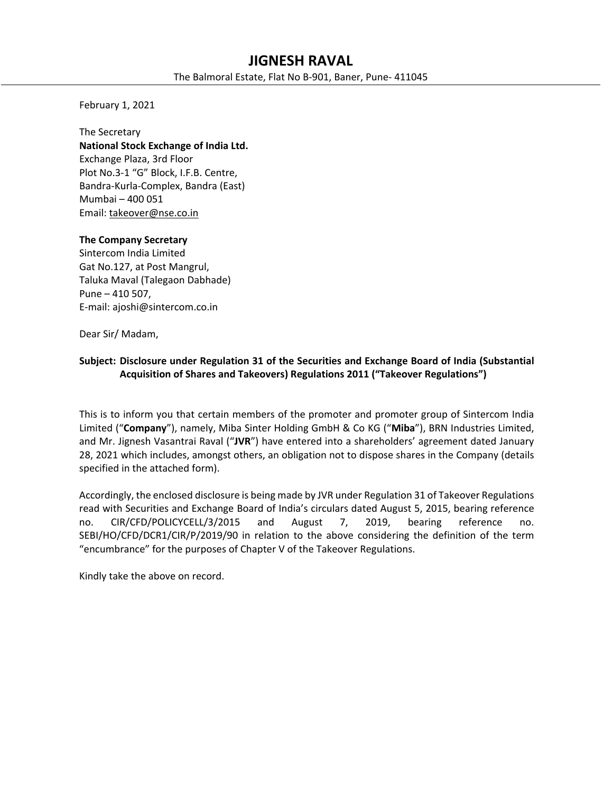# **JIGNESH RAVAL**

The Balmoral Estate, Flat No B‐901, Baner, Pune‐ 411045

February 1, 2021

The Secretary **National Stock Exchange of India Ltd.**  Exchange Plaza, 3rd Floor Plot No.3‐1 "G" Block, I.F.B. Centre, Bandra‐Kurla‐Complex, Bandra (East) Mumbai – 400 051 Email: takeover@nse.co.in

## **The Company Secretary**

Sintercom India Limited Gat No.127, at Post Mangrul, Taluka Maval (Talegaon Dabhade) Pune – 410 507, E‐mail: ajoshi@sintercom.co.in

Dear Sir/ Madam,

# **Subject: Disclosure under Regulation 31 of the Securities and Exchange Board of India (Substantial Acquisition of Shares and Takeovers) Regulations 2011 ("Takeover Regulations")**

This is to inform you that certain members of the promoter and promoter group of Sintercom India Limited ("**Company**"), namely, Miba Sinter Holding GmbH & Co KG ("**Miba**"), BRN Industries Limited, and Mr. Jignesh Vasantrai Raval ("**JVR**") have entered into a shareholders' agreement dated January 28, 2021 which includes, amongst others, an obligation not to dispose shares in the Company (details specified in the attached form).

Accordingly, the enclosed disclosure is being made by JVR under Regulation 31 of Takeover Regulations read with Securities and Exchange Board of India's circulars dated August 5, 2015, bearing reference no. CIR/CFD/POLICYCELL/3/2015 and August 7, 2019, bearing reference no. SEBI/HO/CFD/DCR1/CIR/P/2019/90 in relation to the above considering the definition of the term "encumbrance" for the purposes of Chapter V of the Takeover Regulations.

Kindly take the above on record.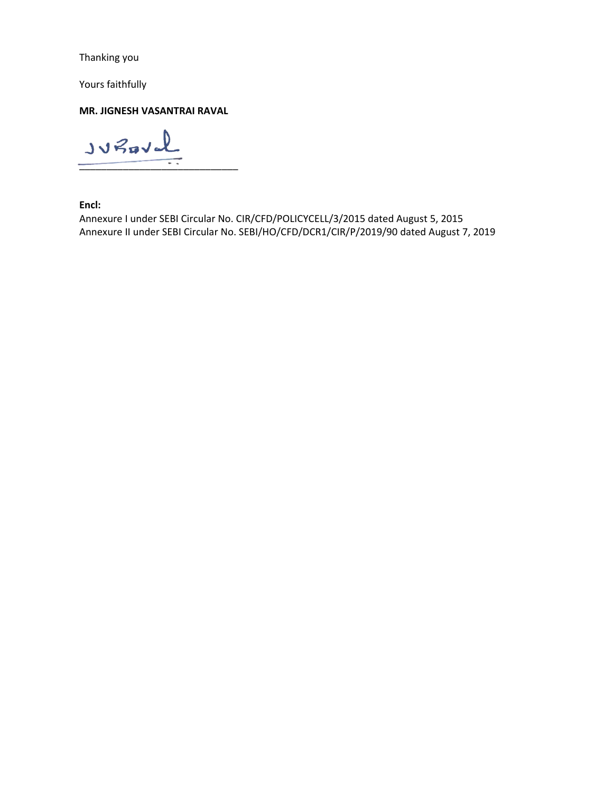Thanking you

Yours faithfully

**MR. JIGNESH VASANTRAI RAVAL** 

 $Jv$ Paval  $\overline{\phantom{a}}$  ,  $\overline{\phantom{a}}$  ,  $\overline{\phantom{a}}$  ,  $\overline{\phantom{a}}$  ,  $\overline{\phantom{a}}$  ,  $\overline{\phantom{a}}$  ,  $\overline{\phantom{a}}$  ,  $\overline{\phantom{a}}$  ,  $\overline{\phantom{a}}$  ,  $\overline{\phantom{a}}$  ,  $\overline{\phantom{a}}$  ,  $\overline{\phantom{a}}$  ,  $\overline{\phantom{a}}$  ,  $\overline{\phantom{a}}$  ,  $\overline{\phantom{a}}$  ,  $\overline{\phantom{a}}$ 

**Encl:** 

Annexure I under SEBI Circular No. CIR/CFD/POLICYCELL/3/2015 dated August 5, 2015 Annexure II under SEBI Circular No. SEBI/HO/CFD/DCR1/CIR/P/2019/90 dated August 7, 2019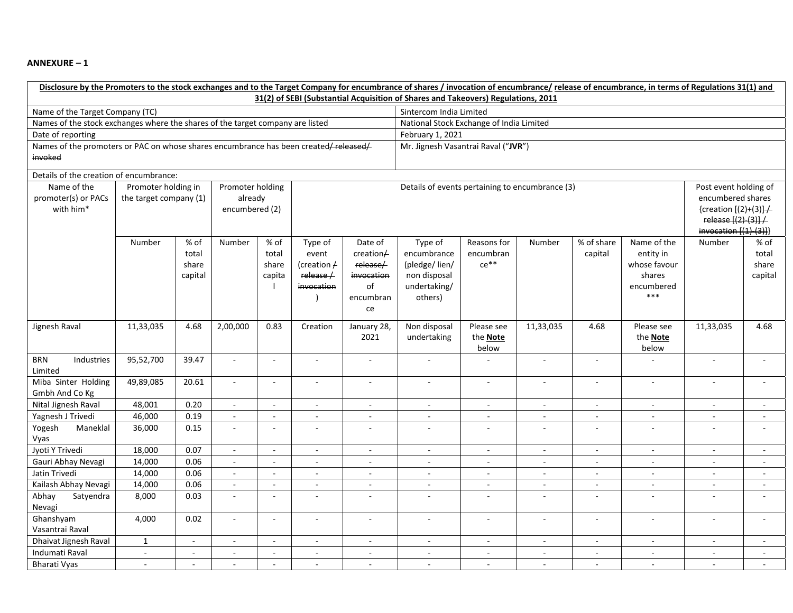#### **ANNEXURE – 1**

| Disclosure by the Promoters to the stock exchanges and to the Target Company for encumbrance of shares / invocation of encumbrance/ release of encumbrance, in terms of Regulations 31(1) and<br>31(2) of SEBI (Substantial Acquisition of Shares and Takeovers) Regulations, 2011 |                                                                                            |                          |                          |                          |                          |                                          |                          |                          |                |                                |                          |                            |                          |
|------------------------------------------------------------------------------------------------------------------------------------------------------------------------------------------------------------------------------------------------------------------------------------|--------------------------------------------------------------------------------------------|--------------------------|--------------------------|--------------------------|--------------------------|------------------------------------------|--------------------------|--------------------------|----------------|--------------------------------|--------------------------|----------------------------|--------------------------|
| Name of the Target Company (TC)                                                                                                                                                                                                                                                    |                                                                                            |                          |                          |                          | Sintercom India Limited  |                                          |                          |                          |                |                                |                          |                            |                          |
| Names of the stock exchanges where the shares of the target company are listed                                                                                                                                                                                                     |                                                                                            |                          |                          |                          |                          | National Stock Exchange of India Limited |                          |                          |                |                                |                          |                            |                          |
| Date of reporting                                                                                                                                                                                                                                                                  |                                                                                            |                          |                          |                          |                          | February 1, 2021                         |                          |                          |                |                                |                          |                            |                          |
| Names of the promoters or PAC on whose shares encumbrance has been created/released/                                                                                                                                                                                               |                                                                                            |                          |                          |                          |                          | Mr. Jignesh Vasantrai Raval ("JVR")      |                          |                          |                |                                |                          |                            |                          |
| invoked                                                                                                                                                                                                                                                                            |                                                                                            |                          |                          |                          |                          |                                          |                          |                          |                |                                |                          |                            |                          |
| Details of the creation of encumbrance:                                                                                                                                                                                                                                            |                                                                                            |                          |                          |                          |                          |                                          |                          |                          |                |                                |                          |                            |                          |
| Name of the                                                                                                                                                                                                                                                                        | Promoter holding in<br>Promoter holding<br>Details of events pertaining to encumbrance (3) |                          |                          |                          |                          |                                          |                          | Post event holding of    |                |                                |                          |                            |                          |
| promoter(s) or PACs                                                                                                                                                                                                                                                                | the target company (1)<br>already                                                          |                          |                          |                          |                          |                                          | encumbered shares        |                          |                |                                |                          |                            |                          |
| with him*                                                                                                                                                                                                                                                                          | encumbered (2)                                                                             |                          |                          |                          |                          |                                          |                          | {creation $[(2)+(3)] +$  |                |                                |                          |                            |                          |
|                                                                                                                                                                                                                                                                                    |                                                                                            |                          |                          |                          |                          |                                          |                          |                          |                |                                |                          | release [(2)-(3)] /        |                          |
|                                                                                                                                                                                                                                                                                    |                                                                                            |                          |                          |                          |                          |                                          |                          |                          |                |                                |                          | $invocation$ $({(1)-(3)})$ |                          |
|                                                                                                                                                                                                                                                                                    | Number                                                                                     | % of                     | Number                   | % of                     | Type of                  | Date of                                  | Type of                  | Reasons for              | Number         | $\sqrt{\frac{2}{10}}$ of share | Name of the              | Number                     | % of                     |
|                                                                                                                                                                                                                                                                                    |                                                                                            | total                    |                          | total                    | event                    | creation/                                | encumbrance              | encumbran                |                | capital                        | entity in                |                            | total                    |
|                                                                                                                                                                                                                                                                                    |                                                                                            | share                    |                          | share                    | (creation $\neq$         | release/                                 | (pledge/lien/            | $ce**$                   |                |                                | whose favour             |                            | share                    |
|                                                                                                                                                                                                                                                                                    |                                                                                            | capital                  |                          | capita                   | release/                 | invocation                               | non disposal             |                          |                |                                | shares                   |                            | capital                  |
|                                                                                                                                                                                                                                                                                    |                                                                                            |                          |                          |                          | invocation               | of<br>encumbran                          | undertaking/<br>others)  |                          |                |                                | encumbered<br>$***$      |                            |                          |
|                                                                                                                                                                                                                                                                                    |                                                                                            |                          |                          |                          |                          | ce                                       |                          |                          |                |                                |                          |                            |                          |
|                                                                                                                                                                                                                                                                                    |                                                                                            |                          |                          |                          |                          |                                          |                          |                          |                |                                |                          |                            |                          |
| Jignesh Raval                                                                                                                                                                                                                                                                      | 11,33,035                                                                                  | 4.68                     | 2,00,000                 | 0.83                     | Creation                 | January 28,                              | Non disposal             | Please see               | 11,33,035      | 4.68                           | Please see               | 11,33,035                  | 4.68                     |
|                                                                                                                                                                                                                                                                                    |                                                                                            |                          |                          |                          |                          | 2021                                     | undertaking              | the <b>Note</b>          |                |                                | the <b>Note</b>          |                            |                          |
|                                                                                                                                                                                                                                                                                    |                                                                                            |                          |                          |                          |                          |                                          |                          | below                    |                |                                | below                    |                            |                          |
| <b>BRN</b><br>Industries<br>Limited                                                                                                                                                                                                                                                | 95,52,700                                                                                  | 39.47                    | $\omega$                 | $\overline{\phantom{a}}$ | $\omega$                 | $\sim$                                   | $\sim$                   | $\overline{a}$           | $\omega$       | $\sim$                         |                          | $\sim$                     | $\sim$                   |
| Miba Sinter Holding                                                                                                                                                                                                                                                                | 49,89,085                                                                                  | 20.61                    | $\overline{\phantom{a}}$ | $\sim$                   | $\sim$                   | $\overline{\phantom{a}}$                 | ÷.                       | $\sim$                   | $\sim$         | $\sim$                         | $\sim$                   | $\sim$                     |                          |
| Gmbh And Co Kg                                                                                                                                                                                                                                                                     |                                                                                            |                          |                          |                          |                          |                                          |                          |                          |                |                                |                          |                            |                          |
| Nital Jignesh Raval                                                                                                                                                                                                                                                                | 48,001                                                                                     | 0.20                     | $\bar{\phantom{a}}$      | $\bar{\phantom{a}}$      | $\overline{\phantom{a}}$ | $\Box$                                   | $\Box$                   | $\bar{\phantom{a}}$      | $\sim$         | $\overline{\phantom{a}}$       | $\overline{\phantom{a}}$ | $\overline{\phantom{a}}$   | $\blacksquare$           |
| Yagnesh J Trivedi                                                                                                                                                                                                                                                                  | 46,000                                                                                     | 0.19                     | $\sim$                   |                          | $\overline{a}$           | ä,                                       | $\sim$                   |                          | $\sim$         | $\sim$                         |                          |                            |                          |
| Yogesh<br>Maneklal                                                                                                                                                                                                                                                                 | 36,000                                                                                     | 0.15                     | $\overline{\phantom{a}}$ | L.                       | $\sim$                   | ÷.                                       | $\sim$                   | $\sim$                   | $\mathbf{r}$   | $\sim$                         |                          |                            |                          |
| Vyas                                                                                                                                                                                                                                                                               |                                                                                            |                          |                          |                          |                          |                                          |                          |                          |                |                                |                          |                            |                          |
| Jyoti Y Trivedi                                                                                                                                                                                                                                                                    | 18,000                                                                                     | 0.07                     | $\overline{\phantom{a}}$ | $\sim$                   | $\sim$                   | $\blacksquare$                           | $\sim$                   | $\omega$                 | $\omega$       | $\blacksquare$                 | $\blacksquare$           | $\blacksquare$             | $\mathbf{r}$             |
| Gauri Abhay Nevagi                                                                                                                                                                                                                                                                 | 14,000                                                                                     | 0.06                     | $\sim$                   |                          | ÷,                       |                                          |                          |                          |                |                                |                          |                            |                          |
| Jatin Trivedi                                                                                                                                                                                                                                                                      | 14,000                                                                                     | 0.06                     | $\mathbb{Z}$             | $\sim$                   | $\sim$                   | $\overline{\phantom{a}}$                 | $\sim$                   | $\sim$                   | $\omega$       | $\sim$                         | $\blacksquare$           | $\blacksquare$             | $\sim$                   |
| Kailash Abhay Nevagi                                                                                                                                                                                                                                                               | 14,000                                                                                     | 0.06                     | $\overline{\phantom{a}}$ |                          | $\overline{\phantom{a}}$ | ÷                                        | $\overline{\phantom{a}}$ |                          | $\sim$         | $\overline{\phantom{a}}$       |                          |                            | $\overline{\phantom{a}}$ |
| Abhay<br>Satyendra<br>Nevagi                                                                                                                                                                                                                                                       | 8,000                                                                                      | 0.03                     | $\sim$                   | $\sim$                   | $\overline{a}$           | $\overline{a}$                           | $\sim$                   | $\sim$                   | $\overline{a}$ | $\sim$                         | $\sim$                   | $\sim$                     | $\sim$                   |
| Ghanshyam<br>Vasantrai Raval                                                                                                                                                                                                                                                       | 4,000                                                                                      | 0.02                     | $\overline{\phantom{a}}$ | ÷,                       | $\overline{\phantom{a}}$ | $\blacksquare$                           | $\overline{\phantom{a}}$ | $\overline{\phantom{a}}$ | $\sim$         | $\overline{\phantom{a}}$       | $\sim$                   | $\sim$                     | $\overline{\phantom{a}}$ |
| Dhaivat Jignesh Raval                                                                                                                                                                                                                                                              | $\mathbf{1}$                                                                               | $\overline{\phantom{a}}$ | $\sim$                   | $\sim$                   | $\overline{\phantom{a}}$ | $\blacksquare$                           | $\sim$                   | $\sim$                   | $\sim$         | $\sim$                         | $\overline{\phantom{a}}$ | $\overline{\phantom{a}}$   |                          |
| Indumati Raval                                                                                                                                                                                                                                                                     | $\mathbb{R}^2$                                                                             | $\sim$                   | $\sim$                   | $\overline{\phantom{a}}$ | $\overline{\phantom{a}}$ | $\overline{\phantom{a}}$                 |                          |                          | $\sim$         | $\sim$                         |                          |                            |                          |
| <b>Bharati Vyas</b>                                                                                                                                                                                                                                                                | $\sim$                                                                                     | $\blacksquare$           | $\sim$                   | $\sim$                   | $\mathbf{r}$             | $\mathcal{L}_{\mathcal{A}}$              | $\sim$                   | $\sim$                   | $\sim$         | $\sim$                         | $\sim$                   | $\sim$                     | $\sim$                   |
|                                                                                                                                                                                                                                                                                    |                                                                                            |                          |                          |                          |                          |                                          |                          |                          |                |                                |                          |                            |                          |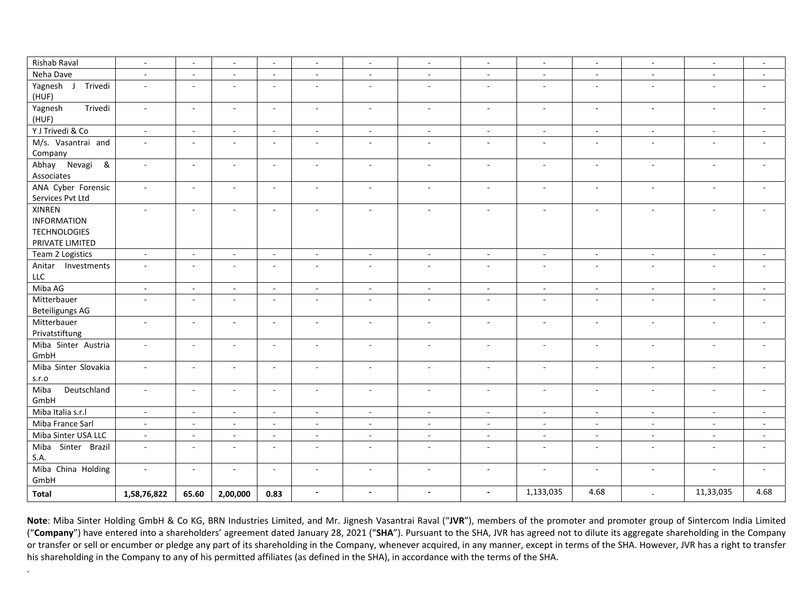| Rishab Raval             | $\sim$         | $\overline{\phantom{a}}$    | $\sim$                   | $\mathcal{L}_{\mathcal{A}}$ | $\blacksquare$           | $\blacksquare$              | $\sim$                   | $\mathcal{L}_{\mathcal{A}}$ | $\sim$                      | $\sim$        | $\sim$         | $\sim$    | $\sim$                   |
|--------------------------|----------------|-----------------------------|--------------------------|-----------------------------|--------------------------|-----------------------------|--------------------------|-----------------------------|-----------------------------|---------------|----------------|-----------|--------------------------|
| Neha Dave                | $\sim$         | $\blacksquare$              | $\blacksquare$           | $\sim$                      | $\blacksquare$           | $\sim$                      | $\sim$                   | $\sim$                      | $\sim$                      | $\sim$        | $\sim$         | $\sim$    | $\sim$                   |
| Yagnesh J<br>Trivedi     | $\omega$       | $\overline{\phantom{a}}$    | $\sim$                   | $\sim$                      | $\sim$                   | $\sim$                      | $\sim$                   | $\sim$                      | $\sim$                      | $\mathcal{L}$ | $\sim$         | $\sim$    | $\sim$                   |
| (HUF)                    |                |                             |                          |                             |                          |                             |                          |                             |                             |               |                |           |                          |
| Yagnesh<br>Trivedi       | $\omega$       | $\sim$                      | $\sim$                   | $\sim$                      | $\sim$                   | $\sim$                      | $\sim$                   | $\sim$                      | $\sim$                      | $\sim$        | $\sim$         | $\sim$    |                          |
| (HUF)                    |                |                             |                          |                             |                          |                             |                          |                             |                             |               |                |           |                          |
| Y J Trivedi & Co         | $\omega$       | $\omega$                    | $\omega$                 | $\mathcal{L}_{\mathcal{A}}$ | $\sim$                   | $\omega$                    | $\sim$                   | $\sim$                      | $\omega$                    | $\sim$        | $\sim$         | $\sim$    |                          |
| M/s. Vasantrai and       | $\sim$         | $\sim$                      | $\sim$                   | $\sim$                      | $\sim$                   | $\mathbf{r}$                | $\sim$                   | $\sim$                      | $\mathcal{L}$               | $\sim$        | $\sim$         | $\sim$    | $\overline{a}$           |
| Company                  |                |                             |                          |                             |                          |                             |                          |                             |                             |               |                |           |                          |
| Abhay Nevagi<br>ଝ        | $\omega$       | $\sim$                      | $\sim$                   | $\sim$                      | $\mathbb{Z}^2$           | $\omega$                    | $\mathcal{L}$            | $\sim$                      | $\sim$                      | $\mathcal{L}$ | $\sim$         | $\omega$  | ÷.                       |
| Associates               |                |                             |                          |                             |                          |                             |                          |                             |                             |               |                |           |                          |
| ANA Cyber Forensic       | $\sim$         | $\mathbb{Z}^2$              | $\sim$                   | $\mathcal{L}_{\mathcal{A}}$ | $\sim$                   | $\omega$                    | $\sim$                   | $\sim$                      | $\mathcal{L}_{\mathcal{A}}$ | $\sim$        | $\sim$         | $\sim$    | $\sim$                   |
| Services Pvt Ltd         |                |                             |                          |                             |                          |                             |                          |                             |                             |               |                |           |                          |
| <b>XINREN</b>            | $\bar{a}$      | $\sim$                      | $\blacksquare$           | $\sim$                      | $\blacksquare$           | $\sim$                      |                          | $\blacksquare$              | $\sim$                      | $\sim$        | $\sim$         |           |                          |
| <b>INFORMATION</b>       |                |                             |                          |                             |                          |                             |                          |                             |                             |               |                |           |                          |
| <b>TECHNOLOGIES</b>      |                |                             |                          |                             |                          |                             |                          |                             |                             |               |                |           |                          |
| PRIVATE LIMITED          |                |                             |                          |                             |                          |                             |                          |                             |                             |               |                |           |                          |
| Team 2 Logistics         | $\sim$         | $\sim$                      | $\sim$                   | $\mathcal{L}_{\mathcal{A}}$ | $\sim$                   | $\sim$                      | $\sim$                   | $\sim$                      | $\sim$                      | $\sim$        | $\sim$         | $\sim$    | $\sim$                   |
| Anitar Investments       | $\sim$         | $\overline{\phantom{a}}$    | $\sim$                   | $\sim$                      | $\sim$                   | $\sim$                      | $\sim$                   | $\sim$                      | $\sim$                      | $\sim$        | $\sim$         | $\sim$    | $\sim$                   |
| LLC                      |                |                             |                          |                             |                          |                             |                          |                             |                             |               |                |           |                          |
| Miba AG                  | $\sim$         | $\sim$                      | $\sim$                   | $\sim$                      | $\sim$                   | $\sim$                      | $\sim$                   | $\overline{\phantom{a}}$    | $\sim$                      | $\sim$        | $\sim$         | $\sim$    | $\sim$                   |
| Mitterbauer              | $\bar{a}$      | $\overline{\phantom{a}}$    | $\sim$                   | $\sim$                      | $\sim$                   | $\blacksquare$              |                          | $\sim$                      | $\sim$                      | $\sim$        |                |           |                          |
| <b>Beteiligungs AG</b>   |                |                             |                          |                             |                          |                             |                          |                             |                             |               |                |           |                          |
| Mitterbauer              | $\sim$         | $\sim$                      | $\sim$                   | $\sim$                      | $\sim$                   | $\sim$                      | $\sim$                   | $\sim$                      | $\omega$                    | $\sim$        | $\sim$         | $\sim$    |                          |
| Privatstiftung           |                |                             |                          |                             |                          |                             |                          |                             |                             |               |                |           |                          |
| Miba Sinter Austria      | $\sim$         | $\sim$                      | $\sim$                   | $\sim$                      | $\sim$                   | $\sim$                      | $\sim$                   | $\sim$                      | $\sim$                      | $\sim$        | $\sim$         | $\sim$    | ÷.                       |
| GmbH                     |                |                             |                          |                             |                          |                             |                          |                             |                             |               |                |           |                          |
| Miba Sinter Slovakia     | $\sim$         | $\overline{\phantom{a}}$    | $\sim$                   | $\sim$                      | $\sim$                   | $\sim$                      | $\sim$                   | $\sim$                      | $\mathcal{L}_{\mathcal{A}}$ | $\sim$        | $\sim$         | $\sim$    | $\overline{\phantom{a}}$ |
| s.r.o                    |                |                             |                          |                             |                          |                             |                          |                             |                             |               |                |           |                          |
| Deutschland<br>Miba      | $\blacksquare$ | $\overline{\phantom{a}}$    | $\sim$                   | $\blacksquare$              | $\overline{\phantom{a}}$ | $\overline{\phantom{a}}$    | $\overline{\phantom{a}}$ | $\sim$                      | $\overline{\phantom{a}}$    | $\sim$        | $\sim$         | $\sim$    |                          |
| GmbH                     |                |                             |                          |                             |                          |                             |                          |                             |                             |               |                |           |                          |
| Miba Italia s.r.l        | $\sim$         | $\sim$                      | $\sim$                   | $\sim$                      | $\sim$                   | $\sim$                      | $\sim$                   | $\sim$                      | $\sim$                      | $\sim$        | $\sim$         | $\sim$    | $\sim$                   |
| Miba France Sarl         | $\omega$       | $\omega$                    | $\omega$                 | $\sim$                      | $\omega$                 | $\sim$                      | $\mathcal{L}$            | $\sim$                      | $\mathcal{L}^{\mathcal{L}}$ | $\omega$      | $\mathbb{Z}^2$ | $\sim$    | $\sim$                   |
| Miba Sinter USA LLC      | $\omega$       | $\mathcal{L}_{\mathcal{A}}$ | $\sim$                   | $\mathcal{L}_{\mathcal{A}}$ | $\sim$                   | $\mathcal{L}_{\mathcal{A}}$ | $\sim$                   | $\omega$                    | $\omega$ .                  | $\sim$        | $\sim$         | $\sim$    | $\sim$                   |
| Sinter<br>Miba<br>Brazil | $\sim$         | $\overline{\phantom{a}}$    | $\overline{\phantom{a}}$ | $\sim$                      | $\sim$                   | $\sim$                      | $\sim$                   | $\sim$                      | $\sim$                      | $\sim$        | $\sim$         | $\sim$    | $\sim$                   |
| S.A.                     |                |                             |                          |                             |                          |                             |                          |                             |                             |               |                |           |                          |
| Miba China Holding       | $\blacksquare$ | $\sim$                      | $\sim$                   | $\sim$                      | $\sim$                   | $\sim$                      | $\sim$                   | $\sim$                      | $\sim$                      | $\sim$        | $\sim$         | $\sim$    | $\sim$                   |
| GmbH                     |                |                             |                          |                             |                          |                             |                          |                             |                             |               |                |           |                          |
| <b>Total</b>             | 1,58,76,822    | 65.60                       | 2,00,000                 | 0.83                        | $\overline{\phantom{a}}$ | $\blacksquare$              |                          | $\sim$                      | 1,133,035                   | 4.68          |                | 11,33,035 | 4.68                     |

**Note**: Miba Sinter Holding GmbH & Co KG, BRN Industries Limited, and Mr. Jignesh Vasantrai Raval ("**JVR**"), members of the promoter and promoter group of Sintercom India Limited ("Company") have entered into a shareholders' agreement dated January 28, 2021 ("SHA"). Pursuant to the SHA, JVR has agreed not to dilute its aggregate shareholding in the Company or transfer or sell or encumber or pledge any part of its shareholding in the Company, whenever acquired, in any manner, except in terms of the SHA. However, JVR has a right to transfer his shareholding in the Company to any of his permitted affiliates (as defined in the SHA), in accordance with the terms of the SHA.

.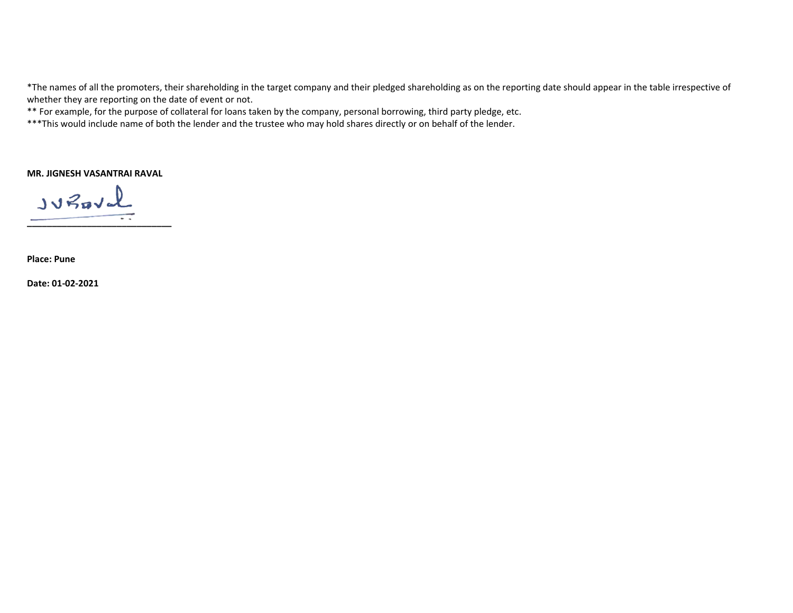\*The names of all the promoters, their shareholding in the target company and their pledged shareholding as on the reporting date should appear in the table irrespective of whether they are reporting on the date of event or not.

\*\* For example, for the purpose of collateral for loans taken by the company, personal borrowing, third party pledge, etc.

\*\*\*This would include name of both the lender and the trustee who may hold shares directly or on behalf of the lender.

**MR. JIGNESH VASANTRAI RAVAL** 

 $JvBavL$ 

**\_\_\_\_\_\_\_\_\_\_\_\_\_\_\_\_\_\_\_\_\_\_\_\_\_\_\_\_\_** 

**Place: Pune** 

**Date: 01‐02‐2021**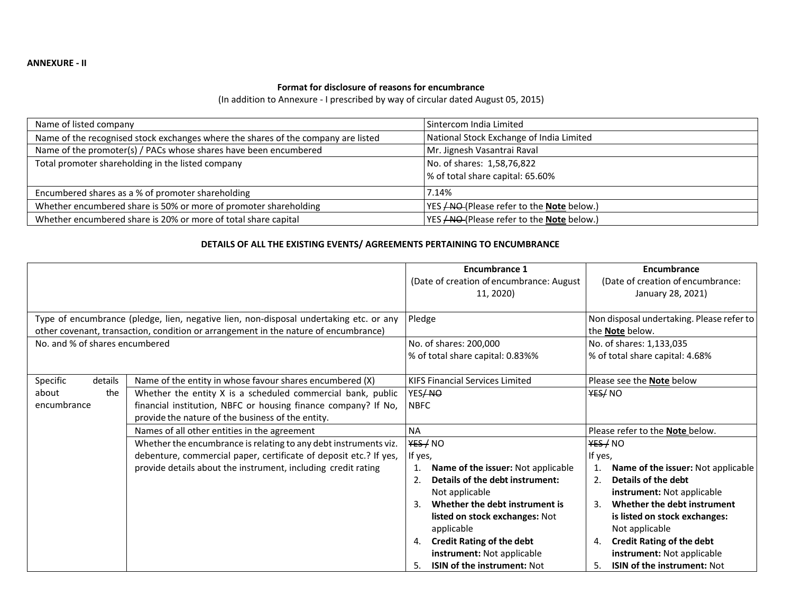#### **Format for disclosure of reasons for encumbrance**

(In addition to Annexure ‐ I prescribed by way of circular dated August 05, 2015)

| Name of listed company                                                            | l Sintercom India Limited                                      |
|-----------------------------------------------------------------------------------|----------------------------------------------------------------|
| Name of the recognised stock exchanges where the shares of the company are listed | National Stock Exchange of India Limited                       |
| Name of the promoter(s) / PACs whose shares have been encumbered                  | Mr. Jignesh Vasantrai Raval                                    |
| Total promoter shareholding in the listed company                                 | No. of shares: 1,58,76,822<br>% of total share capital: 65.60% |
| Encumbered shares as a % of promoter shareholding                                 | 7.14%                                                          |
| Whether encumbered share is 50% or more of promoter shareholding                  | YES <del>/NO</del> (Please refer to the <b>Note</b> below.)    |
| Whether encumbered share is 20% or more of total share capital                    | YES <b>/NO</b> (Please refer to the <b>Note</b> below.)        |

### **DETAILS OF ALL THE EXISTING EVENTS/ AGREEMENTS PERTAINING TO ENCUMBRANCE**

|                                |                                                                                                                                                                               | <b>Encumbrance 1</b><br>(Date of creation of encumbrance: August | Encumbrance<br>(Date of creation of encumbrance:             |  |  |
|--------------------------------|-------------------------------------------------------------------------------------------------------------------------------------------------------------------------------|------------------------------------------------------------------|--------------------------------------------------------------|--|--|
|                                |                                                                                                                                                                               | 11, 2020)                                                        | January 28, 2021)                                            |  |  |
|                                | Type of encumbrance (pledge, lien, negative lien, non-disposal undertaking etc. or any<br>other covenant, transaction, condition or arrangement in the nature of encumbrance) | Pledge                                                           | Non disposal undertaking. Please refer to<br>the Note below. |  |  |
| No. and % of shares encumbered |                                                                                                                                                                               | No. of shares: 200,000                                           | No. of shares: 1,133,035                                     |  |  |
|                                |                                                                                                                                                                               | % of total share capital: 0.83%%                                 | % of total share capital: 4.68%                              |  |  |
| Specific<br>details            | Name of the entity in whose favour shares encumbered (X)                                                                                                                      | KIFS Financial Services Limited                                  | Please see the <b>Note</b> below                             |  |  |
| the<br>about                   | Whether the entity X is a scheduled commercial bank, public                                                                                                                   | YES/NO                                                           | YES/NO                                                       |  |  |
| encumbrance                    | financial institution, NBFC or housing finance company? If No,                                                                                                                | <b>NBFC</b>                                                      |                                                              |  |  |
|                                | provide the nature of the business of the entity.                                                                                                                             |                                                                  |                                                              |  |  |
|                                | Names of all other entities in the agreement                                                                                                                                  | <b>NA</b>                                                        | Please refer to the Note below.                              |  |  |
|                                | Whether the encumbrance is relating to any debt instruments viz.                                                                                                              | YES / NO                                                         | YES / NO                                                     |  |  |
|                                | debenture, commercial paper, certificate of deposit etc.? If yes,                                                                                                             | If yes,                                                          | If yes,                                                      |  |  |
|                                | provide details about the instrument, including credit rating                                                                                                                 | Name of the issuer: Not applicable                               | Name of the issuer: Not applicable<br>1.                     |  |  |
|                                |                                                                                                                                                                               | Details of the debt instrument:<br>2.                            | Details of the debt<br>2.                                    |  |  |
|                                |                                                                                                                                                                               | Not applicable                                                   | instrument: Not applicable                                   |  |  |
|                                |                                                                                                                                                                               | Whether the debt instrument is<br>3.                             | Whether the debt instrument<br>3.                            |  |  |
|                                |                                                                                                                                                                               | listed on stock exchanges: Not                                   | is listed on stock exchanges:                                |  |  |
|                                |                                                                                                                                                                               | applicable                                                       | Not applicable                                               |  |  |
|                                |                                                                                                                                                                               | <b>Credit Rating of the debt</b><br>4.                           | <b>Credit Rating of the debt</b><br>4.                       |  |  |
|                                |                                                                                                                                                                               | instrument: Not applicable                                       | instrument: Not applicable                                   |  |  |
|                                |                                                                                                                                                                               | <b>ISIN of the instrument: Not</b><br>5.                         | ISIN of the instrument: Not<br>5.                            |  |  |